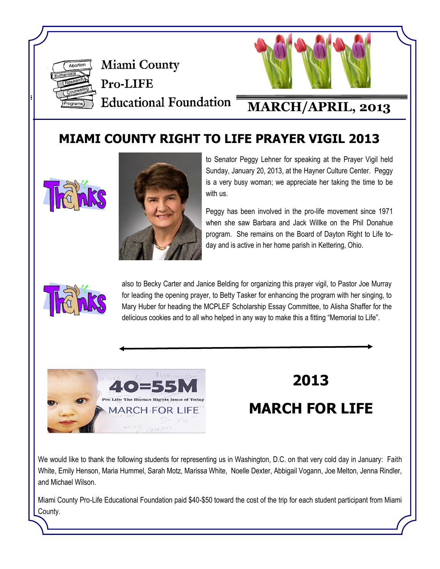

Miami County Pro-LIFE **Educational Foundation =** 



## **MARCH/APRIL, 2013**

### **MIAMI COUNTY RIGHT TO LIFE PRAYER VIGIL 2013**





to Senator Peggy Lehner for speaking at the Prayer Vigil held Sunday, January 20, 2013, at the Hayner Culture Center. Peggy is a very busy woman; we appreciate her taking the time to be with us.

Peggy has been involved in the pro-life movement since 1971 when she saw Barbara and Jack Willke on the Phil Donahue program. She remains on the Board of Dayton Right to Life today and is active in her home parish in Kettering, Ohio.



also to Becky Carter and Janice Belding for organizing this prayer vigil, to Pastor Joe Murray for leading the opening prayer, to Betty Tasker for enhancing the program with her singing, to Mary Huber for heading the MCPLEF Scholarship Essay Committee, to Alisha Shaffer for the delicious cookies and to all who helped in any way to make this a fitting "Memorial to Life".



# **2013**

# **MARCH FOR LIFE**

We would like to thank the following students for representing us in Washington, D.C. on that very cold day in January: Faith White, Emily Henson, Maria Hummel, Sarah Motz, Marissa White, Noelle Dexter, Abbigail Vogann, Joe Melton, Jenna Rindler, and Michael Wilson.

Miami County Pro-Life Educational Foundation paid \$40-\$50 toward the cost of the trip for each student participant from Miami County.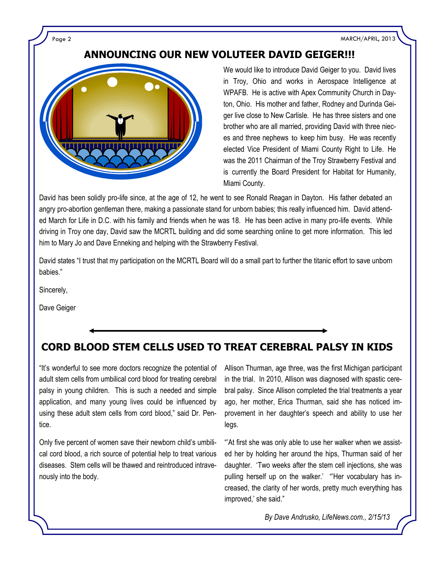Page 2 MARCH/APRIL, 2013

### **ANNOUNCING OUR NEW VOLUTEER DAVID GEIGER!!!**



We would like to introduce David Geiger to you. David lives in Troy, Ohio and works in Aerospace Intelligence at WPAFB. He is active with Apex Community Church in Dayton, Ohio. His mother and father, Rodney and Durinda Geiger live close to New Carlisle. He has three sisters and one brother who are all married, providing David with three nieces and three nephews to keep him busy. He was recently elected Vice President of Miami County Right to Life. He was the 2011 Chairman of the Troy Strawberry Festival and is currently the Board President for Habitat for Humanity, Miami County.

David has been solidly pro-life since, at the age of 12, he went to see Ronald Reagan in Dayton. His father debated an angry pro-abortion gentleman there, making a passionate stand for unborn babies; this really influenced him. David attended March for Life in D.C. with his family and friends when he was 18. He has been active in many pro-life events. While driving in Troy one day, David saw the MCRTL building and did some searching online to get more information. This led him to Mary Jo and Dave Enneking and helping with the Strawberry Festival.

David states "I trust that my participation on the MCRTL Board will do a small part to further the titanic effort to save unborn babies."

Sincerely,

Dave Geiger

### **CORD BLOOD STEM CELLS USED TO TREAT CEREBRAL PALSY IN KIDS**

"It's wonderful to see more doctors recognize the potential of adult stem cells from umbilical cord blood for treating cerebral palsy in young children. This is such a needed and simple application, and many young lives could be influenced by using these adult stem cells from cord blood," said Dr. Pentice.

Only five percent of women save their newborn child's umbilical cord blood, a rich source of potential help to treat various diseases. Stem cells will be thawed and reintroduced intravenously into the body.

Allison Thurman, age three, was the first Michigan participant in the trial. In 2010, Allison was diagnosed with spastic cerebral palsy. Since Allison completed the trial treatments a year ago, her mother, Erica Thurman, said she has noticed improvement in her daughter's speech and ability to use her legs.

"'At first she was only able to use her walker when we assisted her by holding her around the hips, Thurman said of her daughter. 'Two weeks after the stem cell injections, she was pulling herself up on the walker.' "'Her vocabulary has increased, the clarity of her words, pretty much everything has improved,' she said."

*By Dave Andrusko, LifeNews.com., 2/15/13*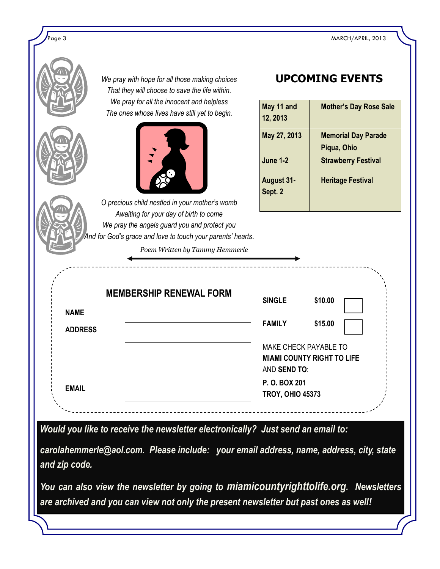ed a model of the state of the state of the state of the MARCH/APRIL, 2013 MARCH/APRIL, 2013

|                | We pray with hope for all those making choices<br>That they will choose to save the life within.                                                                                                                                          | <b>UPCOMING EVENTS</b>                                        |                                                                                                     |  |
|----------------|-------------------------------------------------------------------------------------------------------------------------------------------------------------------------------------------------------------------------------------------|---------------------------------------------------------------|-----------------------------------------------------------------------------------------------------|--|
|                | We pray for all the innocent and helpless<br>The ones whose lives have still yet to begin.                                                                                                                                                | May 11 and<br>12, 2013                                        | <b>Mother's Day Rose Sale</b>                                                                       |  |
|                |                                                                                                                                                                                                                                           | May 27, 2013<br><b>June 1-2</b><br>August 31-<br>Sept. 2      | <b>Memorial Day Parade</b><br>Piqua, Ohio<br><b>Strawberry Festival</b><br><b>Heritage Festival</b> |  |
|                | O precious child nestled in your mother's womb<br>Awaiting for your day of birth to come<br>We pray the angels guard you and protect you<br>And for God's grace and love to touch your parents' hearts.<br>Poem Written by Tammy Hemmerle |                                                               |                                                                                                     |  |
| <b>NAME</b>    | _________________<br><b>MEMBERSHIP RENEWAL FORM</b>                                                                                                                                                                                       | <b>SINGLE</b>                                                 | \$10.00                                                                                             |  |
| <b>ADDRESS</b> |                                                                                                                                                                                                                                           | <b>FAMILY</b><br><b>MAKE CHECK PAYABLE TO</b><br>AND SEND TO: | \$15.00<br><b>MIAMI COUNTY RIGHT TO LIFE</b>                                                        |  |
| <b>EMAIL</b>   |                                                                                                                                                                                                                                           |                                                               | P.O. BOX 201<br><b>TROY, OHIO 45373</b>                                                             |  |
| and zip code.  | Would you like to receive the newsletter electronically? Just send an email to:<br>carolahemmerle@aol.com. Please include: your email address, name, address, city, state                                                                 |                                                               |                                                                                                     |  |
|                | You can also view the newsletter by going to miamicountyrighttolife.org. Newsletters<br>are archived and you can view not only the present newsletter but past ones as well!                                                              |                                                               |                                                                                                     |  |